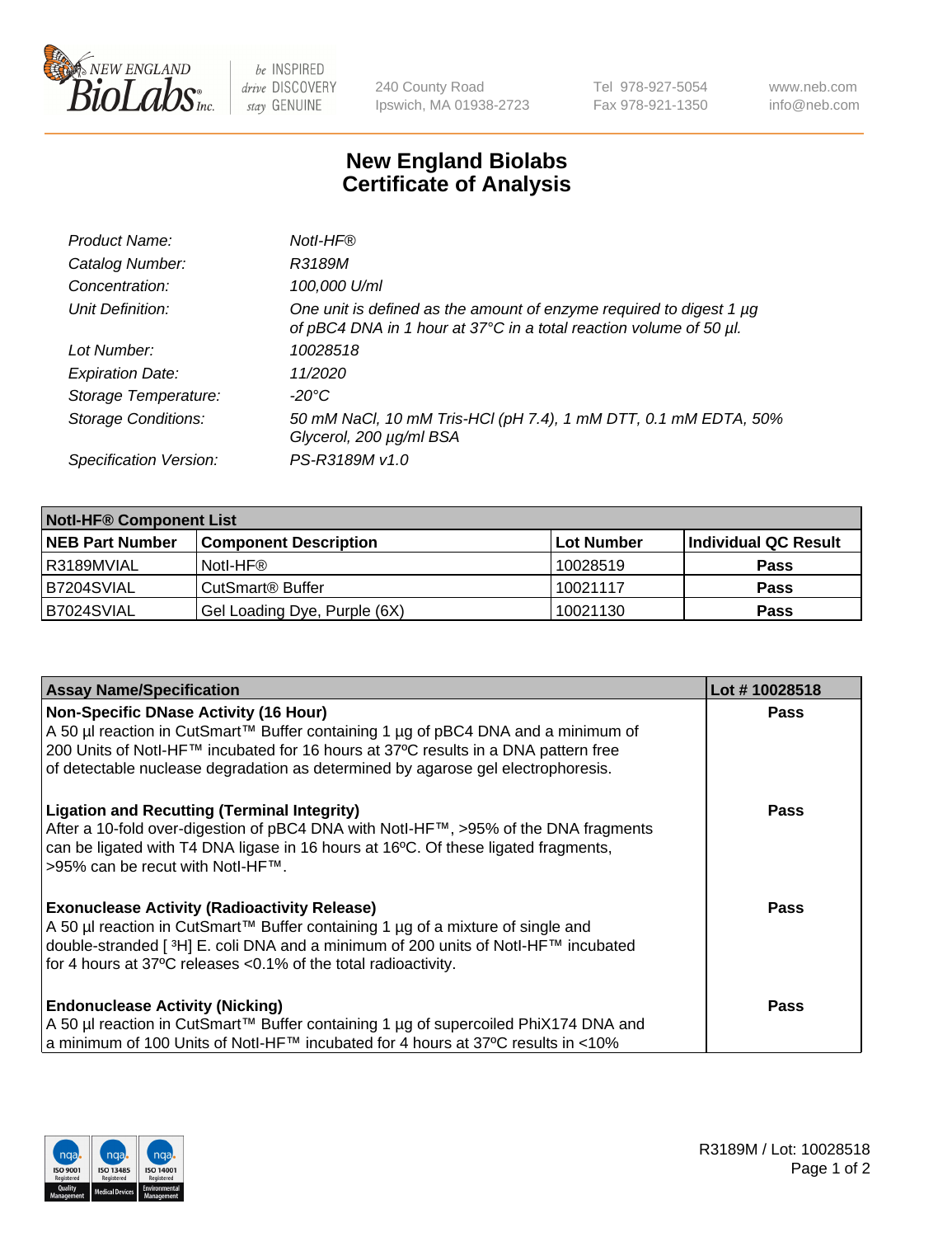

 $be$  INSPIRED drive DISCOVERY stay GENUINE

240 County Road Ipswich, MA 01938-2723 Tel 978-927-5054 Fax 978-921-1350 www.neb.com info@neb.com

## **New England Biolabs Certificate of Analysis**

| Product Name:              | Notl-HF®                                                                                                                                  |
|----------------------------|-------------------------------------------------------------------------------------------------------------------------------------------|
| Catalog Number:            | R3189M                                                                                                                                    |
| Concentration:             | 100,000 U/ml                                                                                                                              |
| Unit Definition:           | One unit is defined as the amount of enzyme required to digest 1 µg<br>of pBC4 DNA in 1 hour at 37°C in a total reaction volume of 50 µl. |
| Lot Number:                | 10028518                                                                                                                                  |
| <b>Expiration Date:</b>    | 11/2020                                                                                                                                   |
| Storage Temperature:       | -20°C                                                                                                                                     |
| <b>Storage Conditions:</b> | 50 mM NaCl, 10 mM Tris-HCl (pH 7.4), 1 mM DTT, 0.1 mM EDTA, 50%<br>Glycerol, 200 µg/ml BSA                                                |
| Specification Version:     | PS-R3189M v1.0                                                                                                                            |

| <b>Notl-HF® Component List</b> |                              |                   |                      |  |
|--------------------------------|------------------------------|-------------------|----------------------|--|
| <b>NEB Part Number</b>         | <b>Component Description</b> | <b>Lot Number</b> | Individual QC Result |  |
| R3189MVIAL                     | Notl-HF®                     | 10028519          | <b>Pass</b>          |  |
| B7204SVIAL                     | CutSmart <sup>®</sup> Buffer | 10021117          | <b>Pass</b>          |  |
| B7024SVIAL                     | Gel Loading Dye, Purple (6X) | 10021130          | <b>Pass</b>          |  |

| <b>Assay Name/Specification</b>                                                     | Lot #10028518 |
|-------------------------------------------------------------------------------------|---------------|
| <b>Non-Specific DNase Activity (16 Hour)</b>                                        | <b>Pass</b>   |
| A 50 µl reaction in CutSmart™ Buffer containing 1 µg of pBC4 DNA and a minimum of   |               |
| 200 Units of Notl-HF™ incubated for 16 hours at 37°C results in a DNA pattern free  |               |
| of detectable nuclease degradation as determined by agarose gel electrophoresis.    |               |
| <b>Ligation and Recutting (Terminal Integrity)</b>                                  | <b>Pass</b>   |
| After a 10-fold over-digestion of pBC4 DNA with Notl-HF™, >95% of the DNA fragments |               |
| can be ligated with T4 DNA ligase in 16 hours at 16°C. Of these ligated fragments,  |               |
| >95% can be recut with Notl-HF™.                                                    |               |
| <b>Exonuclease Activity (Radioactivity Release)</b>                                 | <b>Pass</b>   |
| A 50 µl reaction in CutSmart™ Buffer containing 1 µg of a mixture of single and     |               |
| double-stranded [3H] E. coli DNA and a minimum of 200 units of Notl-HF™ incubated   |               |
| for 4 hours at 37°C releases < 0.1% of the total radioactivity.                     |               |
| <b>Endonuclease Activity (Nicking)</b>                                              | <b>Pass</b>   |
| A 50 µl reaction in CutSmart™ Buffer containing 1 µg of supercoiled PhiX174 DNA and |               |
| a minimum of 100 Units of Notl-HF™ incubated for 4 hours at 37°C results in <10%    |               |